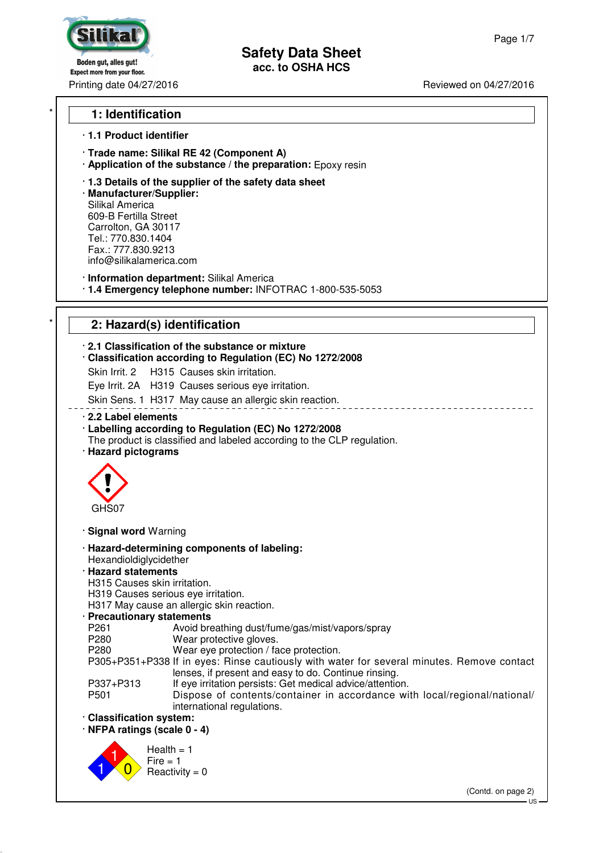**Safety Data Sheet**

**acc. to OSHA HCS**

Boden gut, alles gut! **Expect more from your floor.** Printing date 04/27/2016 **Reviewed on 04/27/2016** Reviewed on 04/27/2016

## \* **1: Identification**

#### · **1.1 Product identifier**

· **Trade name: Silikal RE 42 (Component A)**

· **Application of the substance / the preparation:** Epoxy resin

· **1.3 Details of the supplier of the safety data sheet**

· **Manufacturer/Supplier:** Silikal America 609-B Fertilla Street Carrolton, GA 30117 Tel.: 770.830.1404 Fax.: 777.830.9213 info@silikalamerica.com

· **Information department:** Silikal America

· **1.4 Emergency telephone number:** INFOTRAC 1-800-535-5053

## \* **2: Hazard(s) identification**

#### · **2.1 Classification of the substance or mixture**

· **Classification according to Regulation (EC) No 1272/2008**

Skin Irrit. 2 H315 Causes skin irritation.

Eye Irrit. 2A H319 Causes serious eye irritation.

Skin Sens. 1 H317 May cause an allergic skin reaction.

#### · **2.2 Label elements**

· **Labelling according to Regulation (EC) No 1272/2008**

- The product is classified and labeled according to the CLP regulation.
- · **Hazard pictograms**



· **Signal word** Warning

- · **Hazard-determining components of labeling:** Hexandioldiglycidether
- · **Hazard statements**
- H315 Causes skin irritation.
- H319 Causes serious eye irritation.

H317 May cause an allergic skin reaction.

#### · **Precautionary statements**

P261 Avoid breathing dust/fume/gas/mist/vapors/spray<br>P280 Mear protective gloves. Wear protective gloves.

P280 Wear eye protection / face protection.

P305+P351+P338 If in eyes: Rinse cautiously with water for several minutes. Remove contact lenses, if present and easy to do. Continue rinsing.

- P337+P313 If eye irritation persists: Get medical advice/attention.
- P501 Dispose of contents/container in accordance with local/regional/national/ international regulations.
- · **Classification system:**

· **NFPA ratings (scale 0 - 4)**



(Contd. on page 2)

 $\overline{\mathsf{L}}$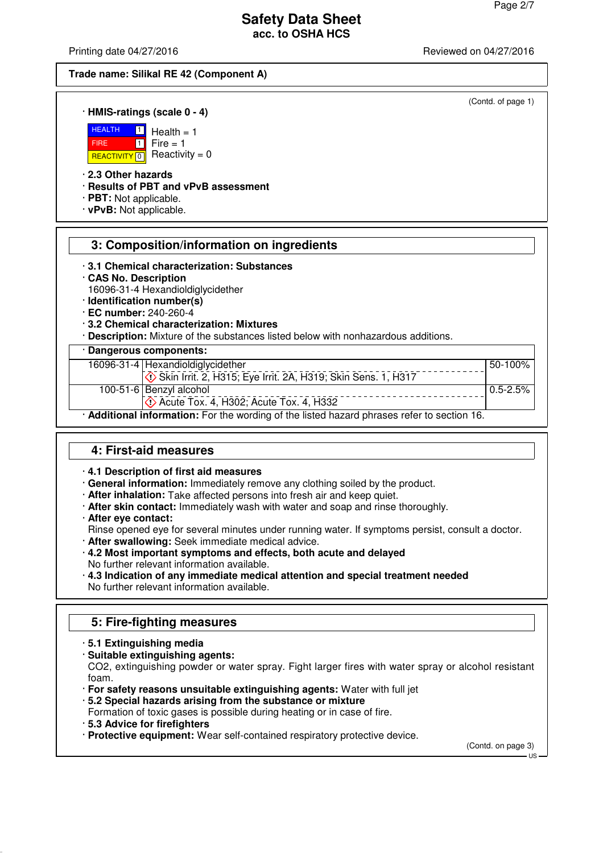(Contd. of page 1)

## **Safety Data Sheet acc. to OSHA HCS**

Printing date 04/27/2016 **Printing date 04/27/2016** Reviewed on 04/27/2016

#### **Trade name: Silikal RE 42 (Component A)**

#### · **HMIS-ratings (scale 0 - 4)**

 $\boxed{1}$ 



REACTIVITY  $\boxed{0}$  Reactivity = 0  $1$  Fire = 1

 $Health = 1$ 

· **2.3 Other hazards**

· **Results of PBT and vPvB assessment**

· **PBT:** Not applicable.

· **vPvB:** Not applicable.

# **3: Composition/information on ingredients**

- · **3.1 Chemical characterization: Substances**
- · **CAS No. Description**
- 16096-31-4 Hexandioldiglycidether
- · **Identification number(s)**
- · **EC number:** 240-260-4
- · **3.2 Chemical characterization: Mixtures**

· **Description:** Mixture of the substances listed below with nonhazardous additions.

## · **Dangerous components:**

| 16096-31-4 Hexandioldiglycidether                                                           | l 50-100% l |
|---------------------------------------------------------------------------------------------|-------------|
| Skin Irrit. 2, H315; Eye Irrit. 2A, H319; Skin Sens. 1, H317                                |             |
| 100-51-6 Benzyl alcohol                                                                     | 0.5-2.5%    |
| <b>Acute Tox. 4, H302; Acute Tox. 4, H332</b>                                               |             |
| · Additional information: For the wording of the listed hazard phrases refer to section 16. |             |

# **4: First-aid measures**

## · **4.1 Description of first aid measures**

- · **General information:** Immediately remove any clothing soiled by the product.
- · **After inhalation:** Take affected persons into fresh air and keep quiet.
- · **After skin contact:** Immediately wash with water and soap and rinse thoroughly.
- · **After eye contact:**
- Rinse opened eye for several minutes under running water. If symptoms persist, consult a doctor.
- · **After swallowing:** Seek immediate medical advice.
- · **4.2 Most important symptoms and effects, both acute and delayed** No further relevant information available.
- · **4.3 Indication of any immediate medical attention and special treatment needed** No further relevant information available.

# **5: Fire-fighting measures**

- · **5.1 Extinguishing media**
- · **Suitable extinguishing agents:**

CO2, extinguishing powder or water spray. Fight larger fires with water spray or alcohol resistant foam.

- · **For safety reasons unsuitable extinguishing agents:** Water with full jet
- · **5.2 Special hazards arising from the substance or mixture**
- Formation of toxic gases is possible during heating or in case of fire.
- · **5.3 Advice for firefighters**
- · **Protective equipment:** Wear self-contained respiratory protective device.

(Contd. on page 3)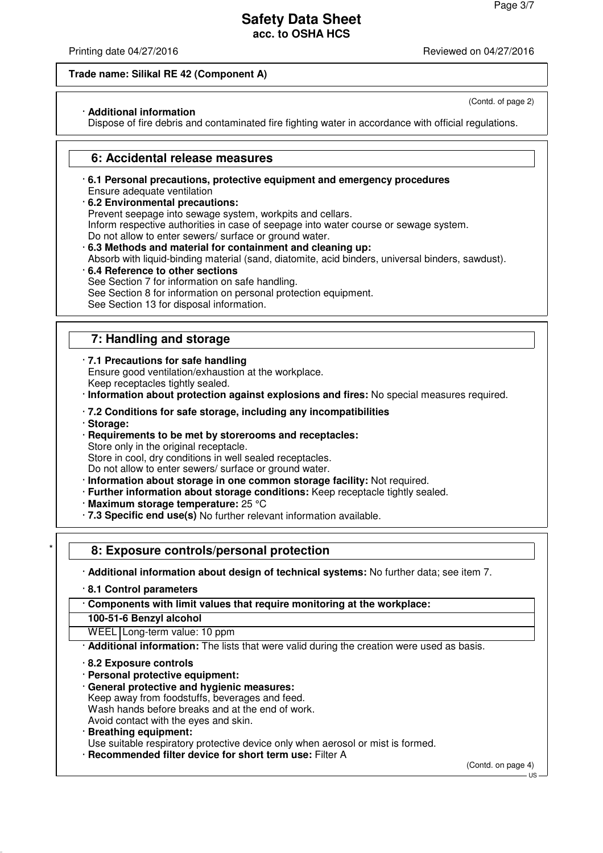(Contd. of page 2)

## **Safety Data Sheet acc. to OSHA HCS**

Printing date 04/27/2016 **Printing date 04/27/2016** Reviewed on 04/27/2016

#### **Trade name: Silikal RE 42 (Component A)**

#### · **Additional information**

Dispose of fire debris and contaminated fire fighting water in accordance with official regulations.

## **6: Accidental release measures**

- · **6.1 Personal precautions, protective equipment and emergency procedures** Ensure adequate ventilation
- · **6.2 Environmental precautions:**

Prevent seepage into sewage system, workpits and cellars.

- Inform respective authorities in case of seepage into water course or sewage system.
- Do not allow to enter sewers/ surface or ground water.
- · **6.3 Methods and material for containment and cleaning up:** Absorb with liquid-binding material (sand, diatomite, acid binders, universal binders, sawdust).
- · **6.4 Reference to other sections**
- See Section 7 for information on safe handling.
- See Section 8 for information on personal protection equipment.

See Section 13 for disposal information.

# **7: Handling and storage**

· **7.1 Precautions for safe handling**

Ensure good ventilation/exhaustion at the workplace. Keep receptacles tightly sealed.

· **Information about protection against explosions and fires:** No special measures required.

## · **7.2 Conditions for safe storage, including any incompatibilities**

- · **Storage:**
- · **Requirements to be met by storerooms and receptacles:**

Store only in the original receptacle.

Store in cool, dry conditions in well sealed receptacles.

Do not allow to enter sewers/ surface or ground water.

- · **Information about storage in one common storage facility:** Not required.
- · **Further information about storage conditions:** Keep receptacle tightly sealed.
- · **Maximum storage temperature:** 25 °C
- · **7.3 Specific end use(s)** No further relevant information available.

# \* **8: Exposure controls/personal protection**

· **Additional information about design of technical systems:** No further data; see item 7.

· **8.1 Control parameters**

· **Components with limit values that require monitoring at the workplace:**

**100-51-6 Benzyl alcohol**

WEEL Long-term value: 10 ppm

· **Additional information:** The lists that were valid during the creation were used as basis.

· **8.2 Exposure controls**

- · **Personal protective equipment:**
- · **General protective and hygienic measures:**
- Keep away from foodstuffs, beverages and feed.

Wash hands before breaks and at the end of work.

Avoid contact with the eyes and skin.

· **Breathing equipment:**

Use suitable respiratory protective device only when aerosol or mist is formed.

· **Recommended filter device for short term use:** Filter A

(Contd. on page 4)

## $H<sub>S</sub>$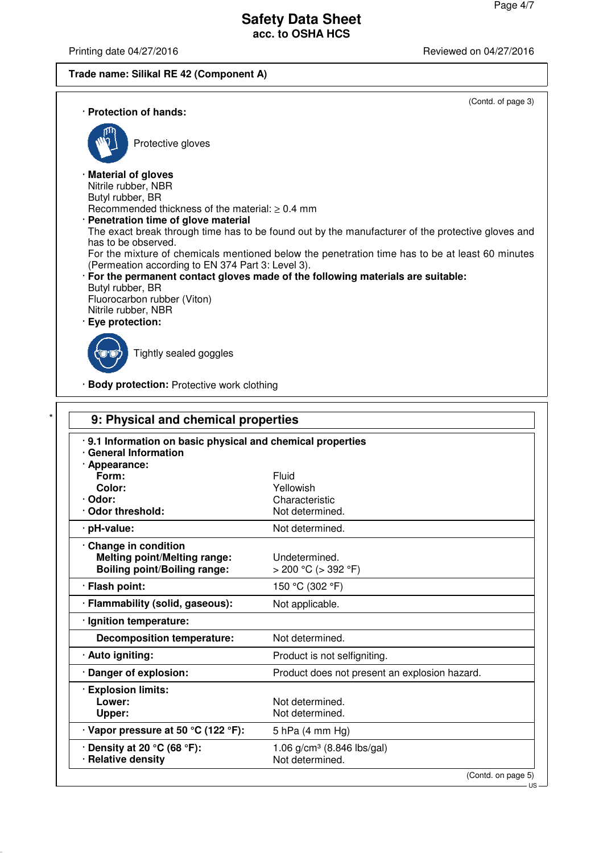· **Ignition temperature:**

· **Explosion limits:**

· Relative density

**Decomposition temperature:** Not determined.

**Upper:** Not determined. · **Vapor pressure at 50 °C (122 °F):** 5 hPa (4 mm Hg)

· **Auto igniting: Auto igniting.** Product is not selfigniting.

· **Density at 20 °C (68 °F):** 1.06 g/cm<sup>3</sup> (8.846 lbs/gal)<br>· **Relative density Not determined.** 

· **Danger of explosion:** Product does not present an explosion hazard.

Not determined.

Printing date 04/27/2016 **Printing date 04/27/2016** 

## **Trade name: Silikal RE 42 (Component A)**

(Contd. on page 5)

| · Protection of hands:                                                                                                                                                                                                                                                                                                                                                                                               | (Contd. of page 3)                                                                                                                                                                                                                                                                       |
|----------------------------------------------------------------------------------------------------------------------------------------------------------------------------------------------------------------------------------------------------------------------------------------------------------------------------------------------------------------------------------------------------------------------|------------------------------------------------------------------------------------------------------------------------------------------------------------------------------------------------------------------------------------------------------------------------------------------|
| Protective gloves                                                                                                                                                                                                                                                                                                                                                                                                    |                                                                                                                                                                                                                                                                                          |
| · Material of gloves<br>Nitrile rubber, NBR<br>Butyl rubber, BR<br>Recommended thickness of the material: $\geq 0.4$ mm<br>Penetration time of glove material<br>has to be observed.<br>(Permeation according to EN 374 Part 3: Level 3).<br>Butyl rubber, BR<br>Fluorocarbon rubber (Viton)<br>Nitrile rubber, NBR<br>Eye protection:<br>Tightly sealed goggles<br><b>Body protection: Protective work clothing</b> | The exact break through time has to be found out by the manufacturer of the protective gloves and<br>For the mixture of chemicals mentioned below the penetration time has to be at least 60 minutes<br>· For the permanent contact gloves made of the following materials are suitable: |
| 9: Physical and chemical properties                                                                                                                                                                                                                                                                                                                                                                                  |                                                                                                                                                                                                                                                                                          |
| .9.1 Information on basic physical and chemical properties<br>· General Information<br>· Appearance:<br>Form:                                                                                                                                                                                                                                                                                                        | <b>Fluid</b>                                                                                                                                                                                                                                                                             |
| Color:                                                                                                                                                                                                                                                                                                                                                                                                               | Yellowish                                                                                                                                                                                                                                                                                |
| · Odor:                                                                                                                                                                                                                                                                                                                                                                                                              | Characteristic                                                                                                                                                                                                                                                                           |
| · Odor threshold:                                                                                                                                                                                                                                                                                                                                                                                                    | Not determined.                                                                                                                                                                                                                                                                          |
| · pH-value:                                                                                                                                                                                                                                                                                                                                                                                                          | Not determined.                                                                                                                                                                                                                                                                          |
| Change in condition<br><b>Melting point/Melting range:</b><br><b>Boiling point/Boiling range:</b>                                                                                                                                                                                                                                                                                                                    | Undetermined.<br>$> 200$ °C ( $> 392$ °F)                                                                                                                                                                                                                                                |
| · Flash point:                                                                                                                                                                                                                                                                                                                                                                                                       | 150 °C (302 °F)                                                                                                                                                                                                                                                                          |
| · Flammability (solid, gaseous):                                                                                                                                                                                                                                                                                                                                                                                     | Not applicable.                                                                                                                                                                                                                                                                          |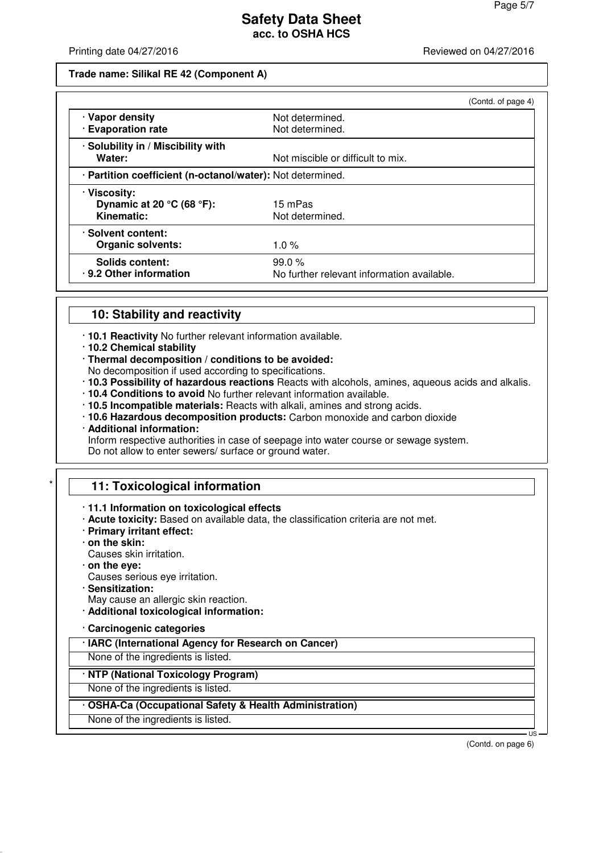Printing date 04/27/2016 **Printing date 04/27/2016** Reviewed on 04/27/2016

#### **Trade name: Silikal RE 42 (Component A)**

|                                                            |                                            | (Contd. of page 4) |
|------------------------------------------------------------|--------------------------------------------|--------------------|
| · Vapor density                                            | Not determined.                            |                    |
| · Evaporation rate                                         | Not determined.                            |                    |
| · Solubility in / Miscibility with                         |                                            |                    |
| Water:                                                     | Not miscible or difficult to mix.          |                    |
| · Partition coefficient (n-octanol/water): Not determined. |                                            |                    |
| · Viscosity:                                               |                                            |                    |
| Dynamic at 20 $^{\circ}$ C (68 $^{\circ}$ F):              | 15 mPas                                    |                    |
| Kinematic:                                                 | Not determined.                            |                    |
| · Solvent content:                                         |                                            |                    |
| <b>Organic solvents:</b>                                   | $1.0 \%$                                   |                    |
| <b>Solids content:</b>                                     | 99.0%                                      |                    |
| . 9.2 Other information                                    | No further relevant information available. |                    |

## **10: Stability and reactivity**

- · **10.1 Reactivity** No further relevant information available.
- · **10.2 Chemical stability**
- · **Thermal decomposition / conditions to be avoided:**
- No decomposition if used according to specifications.
- · **10.3 Possibility of hazardous reactions** Reacts with alcohols, amines, aqueous acids and alkalis.
- · **10.4 Conditions to avoid** No further relevant information available.
- · **10.5 Incompatible materials:** Reacts with alkali, amines and strong acids.
- · **10.6 Hazardous decomposition products:** Carbon monoxide and carbon dioxide · **Additional information:**
- Inform respective authorities in case of seepage into water course or sewage system.
- Do not allow to enter sewers/ surface or ground water.

# **11: Toxicological information**

## · **11.1 Information on toxicological effects**

- · **Acute toxicity:** Based on available data, the classification criteria are not met.
- · **Primary irritant effect:**
- · **on the skin:**
- Causes skin irritation.
- · **on the eye:**
- Causes serious eye irritation.
- · **Sensitization:**
- May cause an allergic skin reaction.
- · **Additional toxicological information:**
- · **Carcinogenic categories**
- · **IARC (International Agency for Research on Cancer)**

None of the ingredients is listed.

# · **NTP (National Toxicology Program)**

None of the ingredients is listed.

## · **OSHA-Ca (Occupational Safety & Health Administration)**

None of the ingredients is listed.

(Contd. on page 6)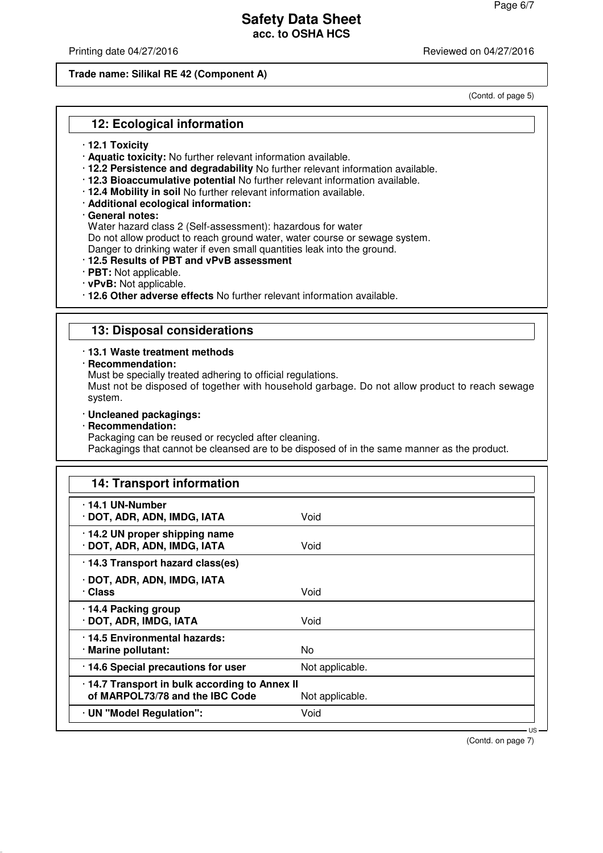Printing date 04/27/2016 **Printing date 04/27/2016** Reviewed on 04/27/2016

#### **Trade name: Silikal RE 42 (Component A)**

(Contd. of page 5)

# **12: Ecological information**

- · **12.1 Toxicity**
- · **Aquatic toxicity:** No further relevant information available.
- · **12.2 Persistence and degradability** No further relevant information available.
- · **12.3 Bioaccumulative potential** No further relevant information available.
- · **12.4 Mobility in soil** No further relevant information available.
- · **Additional ecological information:**

#### · **General notes:**

Water hazard class 2 (Self-assessment): hazardous for water

Do not allow product to reach ground water, water course or sewage system.

Danger to drinking water if even small quantities leak into the ground.

- · **12.5 Results of PBT and vPvB assessment**
- · **PBT:** Not applicable.
- · **vPvB:** Not applicable.
- · **12.6 Other adverse effects** No further relevant information available.

# **13: Disposal considerations**

#### · **13.1 Waste treatment methods**

· **Recommendation:**

Must be specially treated adhering to official regulations.

Must not be disposed of together with household garbage. Do not allow product to reach sewage system.

- · **Uncleaned packagings:**
- · **Recommendation:**

Packaging can be reused or recycled after cleaning.

Packagings that cannot be cleansed are to be disposed of in the same manner as the product.

| 14: Transport information                                                        |                 |
|----------------------------------------------------------------------------------|-----------------|
| 14.1 UN-Number<br>· DOT, ADR, ADN, IMDG, IATA                                    | Void            |
| $\cdot$ 14.2 UN proper shipping name<br>· DOT, ADR, ADN, IMDG, IATA              | Void            |
| · 14.3 Transport hazard class(es)                                                |                 |
| · DOT, ADR, ADN, IMDG, IATA<br>· Class                                           | Void            |
| 14.4 Packing group<br>· DOT, ADR, IMDG, IATA                                     | Void            |
| .14.5 Environmental hazards:<br>· Marine pollutant:                              | No.             |
| · 14.6 Special precautions for user                                              | Not applicable. |
| .14.7 Transport in bulk according to Annex II<br>of MARPOL73/78 and the IBC Code | Not applicable. |
| · UN "Model Regulation":                                                         | Void            |

(Contd. on page 7)